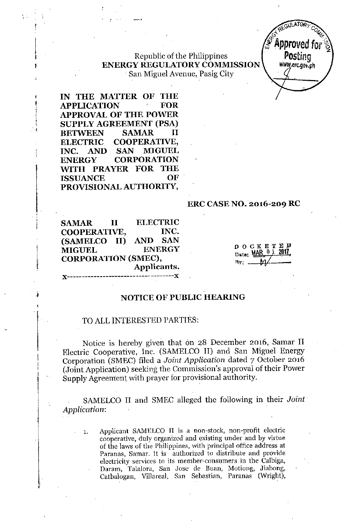## Republic of the Philippines **ENERGY REGULATORYCOMMISSION** San Miguel Avenue, Pasig City



**IN THE MATTER OF THE APPLICATION FOR APPROVAL OF THE POWER SUPPLY AGREEMENf (PSA) BETWEEN SAMAR II ELECTRIC COOPERATIVE, INC. AND SAN MIGUEL ENERGY CORPORATION** ~TH **PRAYER FOR THE ISSUANCE PROVISIONAL AUTHORITY,**

, . ,

,<br>,<br>,

 $\downarrow$ |<br>|<br>| 1

> $, \, \cdot \,$  $, \frac{1}{2}$

\ i<br>E

I<br>I <del>Mari</del>o<br>I

l

### **ERC CASENO. 2016-209 RC**

**SAMAR II ELECTRIC COOPERATIVE, INC. (SAMELCO II) AND** SAN **MIGUEL ENERGY CORPORATION (SMEC), Applicants.**

**)(------------------------------------)(**

DOCKETED Date: MAR 01  $Ry$ : ...

### **NOTICE OF PUBLIC HEARING**

### TO ALLINTERESTED PARTIES:

Notice is hereby given that on 28 December 2016, Samar II Electric Cooperative, Inc. (SAMELCO II) and San Miguel Energy Corporation (SMEC) filed a *Joint Application* dated 7 October 2016 (Joint Application) seeking the Commission's approval of their Power Supply Agreement with prayer for provisional authority.

SAMELCO II and SMEC alleged the following in their *Joint Application:*

**1. Applicant SAMELCO II is a non-stock, non-profit electric cooperative, duly organized and existing under and by virtue of the laws of the Philippines, with principal office address at Paranas, Samar. It is authorized to distribute and provide electricity services to its member-consumers in the Calbiga, Daram, Talalora, San Jose' de Buan, Motiong, Jiabong,** Catbalogan, Villareal, San Sebastian, Paranas (Wright),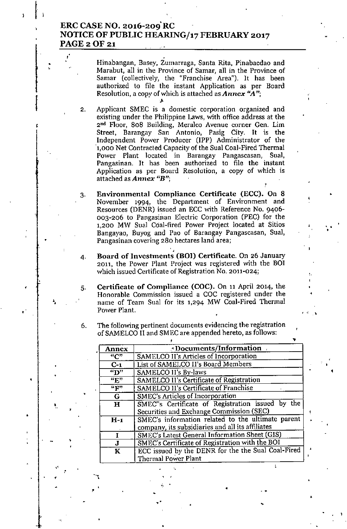# ERC CASE NO. 2016-209'RC NOTICE OF PUBLIC HEARING/17 FEBRUARY 2017 PAGE 2 OF 21

Hinabangan, Basey, Zumarraga, Santa Rita, Pinabaedao and Marabut, all in the Province of Samar, all in the Province of Samar (collectively, the "Franchise Area"). It has been authorized to file the instant Application as per Board Resolution, a copy of which is attached as *Annex "A";* .~

2. Applicant SMEC is a domestic corporation organized and existing under the Philippine Laws, with office address at the 2nd Floor, 808 Building, Meraleo Avenue corner Gen. Lim Street, Barangay San Antonio, Pasig City. It is the Independent Power Producer (lPP) Administrator of the 1,000 Net Contracted Capacity of the Sual Coal-Fired Thermal Power Plant located in Barangay Pangascasan, Sual, Pangasinan. It has been authorized to file the instan Application as per Board Resolution, a copy of which is attached as *Annex "R";* ..<br>,<br>:

3. Environmental Compliance Certificate (ECC). On 8 November 1994, the Department of Environment and Resources (DENR) issued an ECC with Reference No. 9406- 003-206 to Pangasinan Electric Corporation (PEC) for the 1,200 MW Sual Coal-fired Power Project located at Sitios Bangayao, Buyog and Pao of Barangay Pangascasan, Sual, Pangasinan covering 280 hectares land area; ,

4. Board of Investments (BOI) Certificate. On 26 January 2011, the Power Plant Project was registered with the BOI which issued Certificate of Registration No. 2011-024;

.<br>t-

•

r ~ ,

•

•

5. Certificate of Compliance (COC). On 11 April 2014, the Honorable Commission issued a COC registered under the name of Team Sual for its 1,294 MW Coal-Fired Thermal Power Plant.

6. The following pertinent documents evidencing the registration of SAMELCO II and SMEC are appended hereto, as follows:

| <b>Annex</b>            | $\triangle$ Documents/Information                  |
|-------------------------|----------------------------------------------------|
| "C"                     | SAMELCO II's Articles of Incorporation             |
| $C-1$                   | List of SAMELCO II's Board Members                 |
| $\overline{\mathbf{w}}$ | SAMELCO II's By-laws                               |
| $\overline{E''}$        | SAMELCO II's Certificate of Registration           |
| $\overline{``F"'}$      | SAMELCO II's Certificate of Franchise              |
| G                       | <b>SMEC's Articles of Incorporation</b>            |
| $\bf H$                 | SMEC"s Certificate of Registration issued by the   |
|                         | Securities and Exchange Commission (SEC)           |
| $H-1$                   | SMEC's information related to the ultimate parent  |
|                         | company, its subsidiaries and all its affiliates   |
| Ī                       | SMEC's Latest General Information Sheet (GIS)      |
| J                       | SMEC's Certificate of Registration with the BOI    |
| K                       | ECC issued by the DENR for the the Sual Coal-Fired |
|                         | Thermal Power Plant                                |

" • ..

"

•

• ,

"

.<br>.

,

•

~". ,

,<br>,

.'.

•

•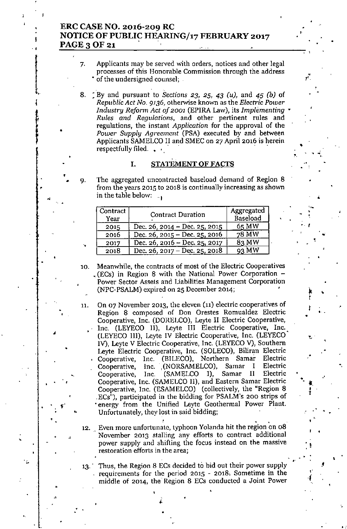### **ERC CASE NO. 2016-209 RC NOTICE OF PUBLIC HEARING/17 FEBRUARY 2017 PAGE30F21 . '**

1

, ,

T<br>{ "

,

•

•

•

,

"

11.

•

.;

,

•

•

•

.'

.

,

•

•

7. Applicants may be served with orders, notices and other legal **processes of this Honorable Commission through the address** • of the **undersigned counsel; .**

•

. .;

,•

,<br>,

•

. .

•

...

•

"

.<br>با

•

•

,<br>| ,

•

• , I. t T

•

•

. I

8, : By and pursuant to Sections 23, 25, 43 *(u),* and 45 *(b)* of *Republic Act No,* 9136, olherwise known as the *Electric Power Industry Reform Act of 2001* (EPIRA Law), its *Implementing' Rules* and *Regulations,* and other pertinent rules and regulations, the instant *Application* for the approval of the *Power Supply Agreement* (PSA) executed by and between Applicants SAMELCO II and SMEC on 27 April 2016 is herein respectfully filed.  $\bullet$ 

### $\mathcal{F}_\mathcal{P} = \mathcal{F}_\mathcal{P} = \mathcal{F}_\mathcal{P} = \mathcal{F}_\mathcal{P} = \mathcal{F}_\mathcal{P} = \mathcal{F}_\mathcal{P} = \mathcal{F}_\mathcal{P} = \mathcal{F}_\mathcal{P} = \mathcal{F}_\mathcal{P} = \mathcal{F}_\mathcal{P} = \mathcal{F}_\mathcal{P} = \mathcal{F}_\mathcal{P} = \mathcal{F}_\mathcal{P} = \mathcal{F}_\mathcal{P} = \mathcal{F}_\mathcal{P} = \mathcal{F}_\mathcal{P} = \mathcal{F}_\mathcal{P}$ **I. STATEMENTOF** FACTS

The aggregated uncontracted baseload demand of Region 8 **from the years 2015 to 2018 is continually increasing as shown** in the table below:  $\mathbb{I}_{\mathbf{p}}$ 

| Contract<br>Year | <b>Contract Duration</b>      | Aggregated<br>Baseload |
|------------------|-------------------------------|------------------------|
| 2015             | Dec. 26, 2014 – Dec. 25, 2015 | 65 MW                  |
| 2016             | Dec. 26, 2015 – Dec. 25, 2016 | 78 MW                  |
| 2017             | Dec. 26, 2016 – Dec. 25, 2017 | 83 MW                  |
| 2018             | Dec. 26, 2017 – Dec. 25, 2018 | 93 MW                  |

- **10. Meanwhile, the contracts of most of the Electric Cooperatives** , (ECs) in Region 8 with the National Power Corporation - **Power Sector Assets and Liabilities Management Corporation** (NPC-PSALM) expired on 25 December 2014;
	- .<br>.<br>. **On 07 November 2013, the eleven (n) electric cooperatives of Region 8 composed of Don Orestes Romualdez Electric** Cooperative, Inc. (DORELCO), Leyte II Electric Cooperative, Inc. (LEYECO II), Leyte III Electric Cooperative, Inc. (LEYECO llJ), Leyte IV Electric Cooperative, Inc. (LEYECO' IV), Leyte V Electric Cooperative, Inc. (LEYECO V), Southern Leyte Electric Cooperative, Inc. (SOLECO), Biliran Electric Cooperative, Inc. (BILECO), Northern Samar Electric Cooperative, Inc. (NORSAMELCO), Samar I Electric<br>Cooperative, Inc. (SAMELCO I), Samar II Electric Cooperative, Inc. (SAMELCO I), Samar II Electric Cooperative, Inc. (SAMELCO II), and Eastern Samar Electric Cooperative, Inc. (ESAMELCO) (collectively, the "Region 8 ,ECs"), participated in the bidding for PSALM's 200 strips of energy from the Unified Leyte Geothermal Power Plant. Unfortunately, they lost in said bidding;
- **12. Even more unfortunate, typhoon Yolanda hit the region on 08 November 2013 stalling any efforts to contract additional power supply and shifting the focus instead on the massive restoration efforts in the areaj**
- 13. Thus, the Region 8 ECs decided to bid out their power supply **requirements for the period 2015 - 2018: Sometime in the middle of 2014, the' Region 8 ECs conducted a Joint Power** ,

•

•

"

,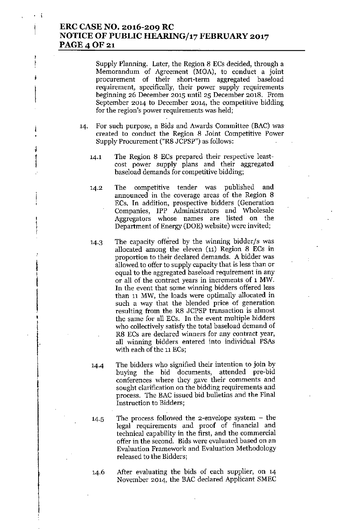### ERC CASE NO. 2016-209 RC NOTICE OF PUBLIC HEARING/17 FEBRUARY 2017 PAGE 4 OF 21

Supply Planning. Later, the Region 8 ECs decided, through a Memorandum of Agreement (MOA), to conduct a joint procurement of their short-term aggregated baseload requirement, specifically, their power supply requirements beginning 26 December 2015 until 25 December 2018. From September 2014 to December 2014, the competitive bidding for the region's power requirements was held;

- 14. For such purpose, a Bids and Awards Committee (BAC) was created to conduct the Region 8 Joint Competitive Power Supply Procurement ("R8 JCPSP") as follows:
	- 14.1 The Region 8 ECs prepared their respective leastcost power supply plans and their aggregated baseload demands for competitive bidding;
	- 14.2 The competitive tender was published and announced in the coverage areas of the Region 8 ECs. In addition, prospective bidders (Generation Companies, IPP Administrators and Wholesale Aggregators whose names are listed on the Department of Energy (DOE) website) were invited;
	- 14.3 The capacity offered by the winning bidder/s was allocated among the eleven (11) Region 8 ECs in proportion to their declared demands. A bidder was allowed to offer to supply capacity that is less than or equal to the aggregated baseload requirement in any or all of the contract years in increments of 1MW. In the event that some winning bidders offered less than 11 MW, the loads were optimally allocated in such a way that the blended price of generation resulting from the R8 JCPSP transaction is almost the same for all ECs. In the event multiple bidders who collectively satisfy the total haseload demand of R8 ECs are declared winners for any contract year, all winning bidders entered into individual PSAs with each of the 11 ECs;
	- 14.4 The bidders who signified their intention to join by buying the bid documents, attended pre-bid conferences where they gave their comments and sought clarification on the bidding requirements and process. The BAC issued bid bulletins and the Final Instruction to Bidders;
	- 14.5 The process followed the 2-envelope system the legal requirements and proof of financial and technical capability in the first, and the commercial offer in the second. Bids were evaluated based on an Evaluation Framework and Evaluation Methodology released to the Bidders;
	- 14.6 After evaluating the bids of each supplier, on 14 November 2014, the BAC declared Applicant SMEC

i

I

r

,

1

i<br>I<br>I

 $\mathbf{I}$ 

**I**<br>I<br>I<br>I

• ,

|<br>|<br>|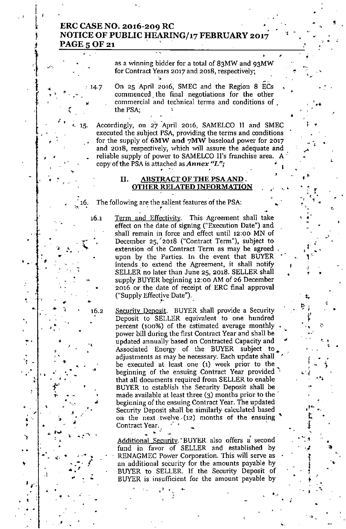# , **ERC CASE NO. 2016-209 RC . NOTICE OF PUBLIC HEARING/17 FEBRUARY 2017** PAGE 5 OF 21

as a winning bidder for a total of 83MW and 93MW **for Contract Years 2017 and 2018, respectively;**

On 25 April 2016, SMEC and the Region 8 ECs **commenced the final negotiations for the other commercial and technical terms and conditions of** the PSA;

Accordingly, on 27 'April 2016, SAMELCO II and SMEC executed the subject PSA, providing the terms and conditions . for the supply of **6MW and** 7MW baseload power for 2017 **and 20)8, respectively, which will assure the adequate and** reliable supply of power to SAMELCO II's franchise area. A' **copy** of the PSA is attached as *Annex*  $L$ "*x*; •

### **II. ABSTRACT OF THE PSA AND OTHER RELATED INFORMATION**

The following are the salient features of the PSA:  $\frac{1}{2}$  the s **;,16.**

•

.~

•

.<br>م

,•

**t. 15.**

14.7

,

, .

, -

**":I- 0\** ••

•

•

, ..

•

•'(

•

,

, '

**.' ",**

. ,

,..

. ,• .. . -

 $\frac{1}{\sqrt{2}}$ 

. **..•..• 'l>; .•.**

•

|<br>| م ا

• •

,

f,

• "

ra<br>M ••

 $\begin{array}{c} \cdot \\ \cdot \\ \cdot \\ \cdot \end{array}$ 

•

• **•••••**

*I' • .'.*

,

 $\mathcal{A}$  . The set of  $\mathcal{A}$ 

,<br>,

.. .

**\"**

.<br>.<br>7<br>7

, , .

16.1

•

16.2

•

.,

••

•

**.J.'"' '10** .• !**"** -,

•

• •

~ Term and Effectivity, This Agreement shall take effect on the date of signing ("Execution Date") and **shall remain in force and effect until 12:00 MN of** December 25,'2018 ("Contract Term"), subject to **extension of the Contract Term as may be agreed .** upon by the Parties. In the event that BUYER intends to extend the Agreement, it shall notify SELLER no later than June 25, 2018. SELLER shall supply BUYER beginning 12:00 AM of 26 December 2016 or the date of receipt of ERC final approval ("Supply Effective Date").

Security Deposit. BUYER shall provide a Security Deposit to SELLER equivalent to one hundred **percent (100%) of the estimated average monthly** power bill during the first Contract Year and shall be updated annually based on Contracted Capacity and Associated Energy of the BUYER subject to. **adjustments as may be necessary. Each update shall ~** be executed at least one (1) week prior to the **beginning of the ensuing Contract Year provided "'j** that all documents required from SELLER to enable BUYER to establish the Security Deposit shall be made available at least three (3) months prior to the' **beginning of the ensuing Contract Year. The updated** Security Deposit shall be similarly calculated based **on the next nvelve" (12) months of the ensuing '\.. Contract Year. ~, "** .. ~**...** -

•

'.., .

,-

 $\ddot{\phantom{1}}$ 

l;.  $\frac{1}{2}$ . "

•

•

**~ Oil**

 $\left\{ \begin{array}{c} \alpha & \beta \\ \beta & \beta \end{array} \right\}$ 

r.

 $\mathbf{I}^{\text{in}}$  •. ր<br>Է

,.

 $\ddagger$ 

.,J •  $\ddot{\tau}$ I •,

•

**"',.1**

..

•

•

•

•

:<br>} , .<br>}<br>7 . . .

, ,

• •• ,  $\int_{0}^{\frac{1}{2}}$  $\frac{1}{1}$ "

•

.,.  $\frac{1}{\sqrt{2}}$ 

,

•

r  $\frac{1}{2}$  $\frac{1}{2}$ **.' ...** , .

•

,.

.,

,<br>↓<br>↓

,

r<br>S,

~'"

•

.,'"

...

**••**

-, .

I. •

,

.'

"

,<br>1

Additional Security. BUYER also offers a second fund in favor of SELLER and established by RENAGMEC Power Corporation. This will serve as an additional security for the amounts payable by BUYER to SELLER. If the Security Deposit of BUYER is insufficient for the amount payable by

,.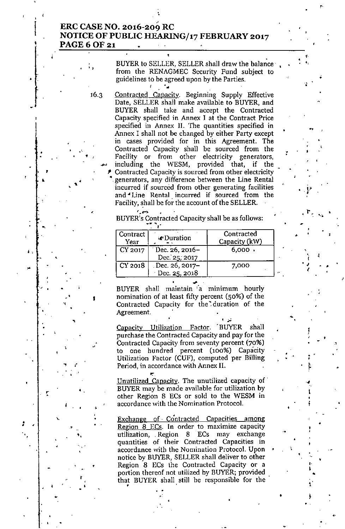### ERC CASE NO. 2016-209 RC NOTICE OF PUBLIC HEARING/17 FEBRUARY 2017 PAGE 6 OF 21

•

. BUYER to SELLER, SELLER shall draw the balance from the RENAGMEC Security Fund subject to guidelines to be agreed upon by the Parties.

16.3 Contracted Capacity. Beginning Supply Effective Date, SELLER shall make available to BUYER, and BUYER shall take and accept the Contracted Capacity specified in Annex I at the Contract Price specified in Annex lI. The quantities specified in Annex I shall not be changed by either Party except in cases provided for in this Agreement. The Contracted Capacity shall be sourced from the Facility or from other electricity generators, including the WESM, provided that, if the , Contracted Capacity is sourced from other electricity generators, any difference between the Line Rental incurred if sourced from other generating facilities and Line Rental incurred if sourced from the Facility, shall be for the account of the SELLER.

> $^{\prime}$  , and  $^{\prime}$  . BUYER's Contracted Capacity shall be as follows:

| Contract<br>Year | <b><i><u>We Duration</u></i></b> | Contracted<br>Capacity (kW) |
|------------------|----------------------------------|-----------------------------|
| CY 2017          | Dec. 26, 2016-<br>Dec. 25, 2017  | $6,000$ ,                   |
| CY 2018          | Dec. 26, 2017-<br>Dec. 25, 2018  | 7,000                       |

,

,

•

"

"

•

.<br>. .

, ,  $\frac{1}{4}$ 

4 ,<br>|} *V*

•.

•

•

,

~<br>←. •

• •

,

.,

•

•

.<br>ו

t .  $\frac{1}{2}$ 

• ,<br>,<br>, ,

F

.<br>L • I<br>∳

•

•

,

••

,<br>Ի , • t

..

, . BUYER shall maintain a minimum hourly nomination of at least fifty percent (50%) of the Contracted Capacity for the duration of the Agreement.

Agreement.<br>Capacity Utilization Factor. BUYER shall purchase the Contracted Capacity and pay for the Contracted Capacity from seventy percent (70%) to one hundred percent (100%) Capacity Utilization Factor (CUF), computed per Billing Period, in accordance with Annex II.

Unutilized Capacity. The unutilized capacity of. BUYER may be made available for utilization by other Region 8 ECs or sold to the WESM in accordance with the Nomination Protocol.

Exchange of. Contracted Capacities among Region 8 ECs. In order to maximize capacity utilization, . Region 8 ECs may exchange quantities of their Contracted Capacities in accordance with the Nomination Protocol. Upon f notice by BUYER, SELLER shall deliver to other Region 8 ECs the Contracted Capacity or a portion thereof not utilized by BUYER; provided. that BUYER shall still be responsible for the •  $\cdot$  .  $\cdot$  .

• •

,,

.,

,

 $\mathbf{v} \in \mathbb{R}^n$ 

,

•

, , •

'.

".

..<br>,

•

•

,.

•

: .

,

•

• •

•

•

, •

I

•

 $\mathbf{A}^4$ 

,

|<br>|<br>|

•

•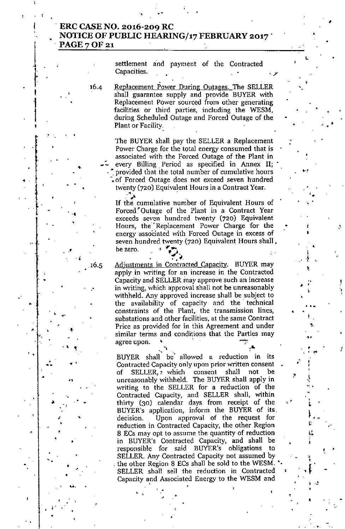### , ERC CASE NO, 2016-209 RC • NOTICE OF PUBLIC HEARING/17 FEBRUARY 2017' PAGE 7 OF 21

,

|<br>!

f '<br>I

1

I

,

 $\ddot{\phantom{1}}$  .

 $\cdot$  .

, .

, .'

• •

" 1

n

 $\frac{1}{\sqrt{2}}$ 

•

•

I• •

•

• "

•

•

,

•

, .

,

•

.'

u,

, . .

,

•

•

16.5

•

'.

•

. .<br>.

"

, .

settlement and payment of the Contracted Capacities.

•

•

• ,

I

• ।<br>। I..  $\frac{1}{r}$ 

 $\mathbf{a}$ ę.  $\frac{4}{3}$ 

•

, .

"

'.

.ም.<br>ማን

! ։<br>։ ,

 $\mathbf{r} \in \mathbb{R}^{N \times N}$ 

•

I f .<br>l

.. ,'

\

'"

•

•

•

••

'. '

., ., .<br>49 ,  $\frac{1}{2}$ 

•

'. .

'.

•

•

16.4 Replacement Power During Outages. The SELLER shall guarantee supply and provide BUYER with Replacement Power sourced from other generating facilities or third parties, including the WESM, during Scheduled Outage and Forced Outage of the Plant or Facility:

> The BUYER shall *pay* the SELLER a Replacement Power Charge for the total energy consumed that is associated with the Forced Outage of the Plant in every Billing Period as specified in Annex II; provided that the total number of cumulative hours -. of Forced Outage does not exceed seven hundred twenty (720) Equivalent Hours in a Contract Year.  $\cdot$   $\cdot$   $\cdot$

If the cumulative number of Equivalent Hours of Forced <sup>\*</sup>Outage of the Plant in a Contract Year exceeds seven hundred twenty (720) Equivalent Hours, the Replacement Power Charge for the energy associated with Forced Outage in excess of seven hundred twenty (720) Equivalent Hours shall. be zero.

,  $\cdot$ Adjustments in Contracted Capacity. BUYER may apply in writing for an increase in the Contracted Capacity and SELLER may approve such an increase in writing, which approval shall not be unreasonably withheld. Any approved increase shall be subject to the availability of capacity and the' technical constraints of the Plant, the transmission lines, substations and other facilities, at the same Contract Price as provided for in this Agreement and under similar terms and conditions that the Parties may agree upon.

*.' A* BUYER shall" be" allowed a reduction in its Contracted Capacity only upon prior written consent SELLER, which consent shall not be unreasonably withheld. The BUYER shall apply in writing to the SELLER for a reduction of the Contracted Capacity, and SELLER shall, within thirty (30) calendar days from receipt of the BUYER's application, inform the BUYER of its, decision. Upon approval of the request for reduction in Contracted Capacity, the other Region 8 ECs may opt to assume the quantity of reduction in BUYER's Contracted Capacity, and shall be responsible for said BUYER's obligations to SELLER. Any Contracted Capacity not assumed by the other Region 8 ECs shall be sold to the WESM. SELLER shall sell the reduction in Contracted Capacity and Associated Energy to the WESM and

•

•

•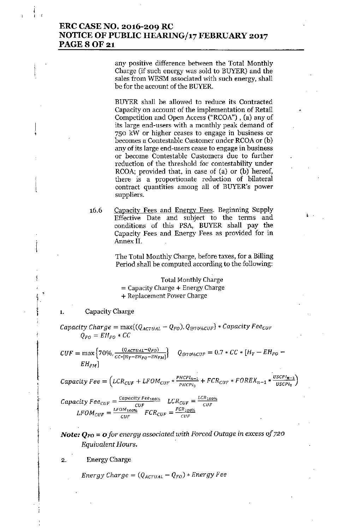# ERC CASE NO. 2016-209 RC NOTICE OF PUBLIC HEARING/17 FEBRUARY 2017 **PAGE 8 OF 21**

any positive difference between the Total Monthly Charge (if such energy was sold to BUYER) and the sales from WESM associated with such energy, shall be for the account of the BUYER.

BUYER shall be allowed to reduce its Contracted Capacity on account of the implementation of Retail Competition and Open Access ("RCOA"), (a) any of its large end-users with a monthly peak demand of 750 kW or higher ceases to engage in business or becomes a Contestable Customer under RCOA or (b) any of its large end-users cease to engage in business or become Contestable Customers due to further reduction of the threshold for contestability under RCOA; provided that, in case of  $(a)$  or  $(b)$  hereof, there is a proportionate reduction of bilateral contract quantities among all of BUYER's power suppliers.

16.6 Capacity Fees and Energy Fees. Beginning Supply Effective Date and subject to the terms and conditions of this PSA, BUYER shall pay the Capacity Fees and Energy Fees as provided for in Annex II.

> The Total Monthly Charge, before taxes, for a Billing Period shall be computed according to the following:

Total Monthly Charge = Capacity Charge + Energy Charge + Replacement Power Charge

## $\begin{bmatrix} 1 \\ 1 \end{bmatrix}$ Capacity Charge

*Capacity Charge* =  $\max\{(\mathcal{Q}_{ACTUAL} - \mathcal{Q}_{FO})$ ,  $\mathcal{Q}_{@70\%CUF}\}\times \mathcal{C}apacity$  *Fee<sub>CUF</sub>*  $Q_{FO} = EH_{FO} * CC$ 

 $CUF = \max\Big\{70\%, \frac{(Q_{ACTUAL} - Q_{FO})}{CC*[H_T - EH_{FO} - EH_{FM}]}\Big\} \quad \ Q_{@70\% CUF} = 0.7*C C * [H_T - EH_{FO}]$ *EHFM]*

$$
Q_{@70\%CUF} = 0.7 * CC * [H_T - EH_{FO} -
$$

,

*(*  $\textit{Capacity Free} = \left(\textit{LCR}_{\textit{CUF}} + \textit{LFOM}_{\textit{CUF}} * \frac{\textit{PhCPI}_{n-1}}{\textit{PhCPI}_{0}} + \textit{FCR}_{\textit{CUF}} * \textit{FOREX}_{n-1} * \frac{\textit{USCPI}_{n-1}}{\textit{USCPI}_{0}}\right)$ 

 $\mathcal{L}$ *Capacity*  $\mathit{Fee}_{CUF} = \frac{\mathit{capacity\,Fee_{100\%}}{\mathit{ClIF}}$   $\mathit{LCR}_{CUF} = \frac{\mathit{LCR}_{100\%}}{\mathit{ClIF}}$  $LFOM_{CUF} = \frac{LFOM_{100\%}}{CUF}$   $FCR_{CUF} = \frac{FCR_{100}}{CUF}$ 

*Note:*  $Q_{FO} = o$  *for energy associated with Forced Outage in excess of 720 Equivalent Hours.*

2. Energy Charge

*Energy Charge* =  $(Q_{ACTUAL} - Q_{FO}) * Energy Fee$ 

 $\frac{1}{2}$  $\overline{f}$ 

i

 $\frac{1}{2}$ 

,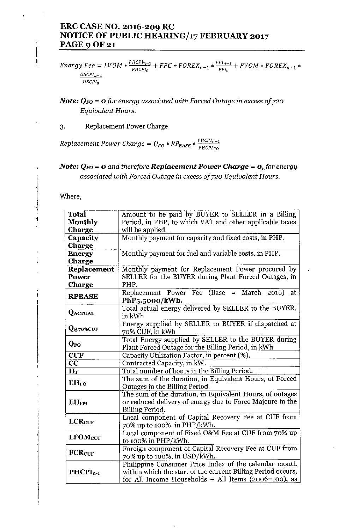# ERC CASE NO. 2016-209 RC NOTICE OF PUBLIC HEARING/17 FEBRUARY 2017 **PAGE 9 OF 21**

Energy Fee = LVOM \*  $\frac{P H C P I_{n-1}}{P H C P I_0}$  + FFC \* FOREX<sub>n-1</sub> \*  $\frac{F P I_{n-1}}{F P I_0}$  + FVOM \* FOREX<sub>n-1</sub> \* *USCPln\_1 USCPTo*

Note: *QFO* = 0*for energy associated with Forced Outage* in *excess of 720 Equivalent Hours.*

3. Replacement Power Charge

 $Replacement Power Charge = Q_{FO} * RP_{BASE} * \frac{PHCPI_{n-1}}{PHCPI_{n-1}}$ *PHCPIFO*

# *Note:*  $Q_{FO} = 0$  *and therefore Replacement Power <i>Charge* =  $0$ *, for energy associated with Forced Outage* in *excess of 720 Equivalent Hours.*

Where,

1<br>∙<br>1

 $\mathfrak{t}$ 

 $\pmb{\mathfrak{t}}$ 

 $\ddot{\cdot}$ 

| <b>Total</b>                    | Amount to be paid by BUYER to SELLER in a Billing                                                                                                                             |
|---------------------------------|-------------------------------------------------------------------------------------------------------------------------------------------------------------------------------|
| <b>Monthly</b>                  | Period, in PHP, to which VAT and other applicable taxes                                                                                                                       |
| <b>Charge</b>                   | will be applied.                                                                                                                                                              |
| Capacity                        | Monthly payment for capacity and fixed costs, in PHP.                                                                                                                         |
| <b>Charge</b>                   |                                                                                                                                                                               |
| Energy                          | Monthly payment for fuel and variable costs, in PHP.                                                                                                                          |
| Charge                          |                                                                                                                                                                               |
| Replacement                     | Monthly payment for Replacement Power procured by                                                                                                                             |
| Power                           | SELLER for the BUYER during Plant Forced Outages, in                                                                                                                          |
| Charge                          | PHP.                                                                                                                                                                          |
| <b>RPBASE</b>                   | Replacement Power Fee (Base = March 2016) at<br>PhP5.5000/kWh.                                                                                                                |
| <b>QACTUAL</b>                  | Total actual energy delivered by SELLER to the BUYER,<br>in kWh                                                                                                               |
| $\mathbf{Q}_{@70\% \text{CUF}}$ | Energy supplied by SELLER to BUYER if dispatched at<br>70% CUF, in kWh                                                                                                        |
| QFO                             | Total Energy supplied by SELLER to the BUYER during<br>Plant Forced Outage for the Billing Period, in kWh                                                                     |
| <b>CUF</b>                      | Capacity Utilization Factor, in percent (%).                                                                                                                                  |
| $\overline{\mathbf{CC}}$        | Contracted Capacity, in kW.                                                                                                                                                   |
| $H_T$                           | Total number of hours in the Billing Period.                                                                                                                                  |
| <b>EHFO</b>                     | The sum of the duration, in Equivalent Hours, of Forced<br>Outages in the Billing Period.                                                                                     |
| $EH_{FM}$                       | The sum of the duration, in Equivalent Hours, of outages<br>or reduced delivery of energy due to Force Majeure in the<br>Billing Period.                                      |
| <b>LCRCUF</b>                   | Local component of Capital Recovery Fee at CUF from<br>70% up to 100%, in PHP/kWh.                                                                                            |
| <b>LFOMcUF</b>                  | Local component of Fixed O&M Fee at CUF from 70% up<br>to 100% in PHP/kWh.                                                                                                    |
| <b>FCRCUF</b>                   | Foreign component of Capital Recovery Fee at CUF from<br>70% up to 100%, in USD/kWh.                                                                                          |
| $PHCPI_{n-1}$                   | Philippine Consumer Price Index of the calendar month<br>within which the start of the current Billing Period occurs,<br>for All Income Households - All Items (2006=100), as |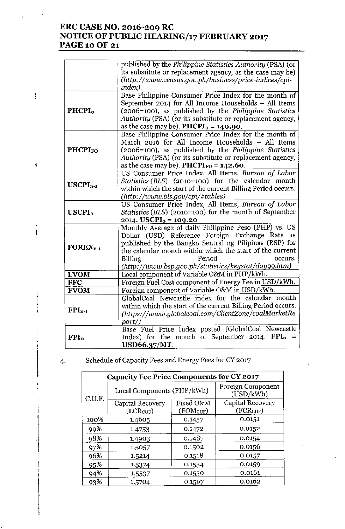# ERC CASE NO. 2016-209 RC NOTICE OF PUBLIC HEARING/17 FEBRUARY 2017 PAGE 10 OF 21

|                           | published by the Philippine Statistics Authority (PSA) (or<br>its substitute or replacement agency, as the case may be)<br>(http://www.census.gov.ph/business/price-indices/cpi-<br>index).                                                                                                                                   |
|---------------------------|-------------------------------------------------------------------------------------------------------------------------------------------------------------------------------------------------------------------------------------------------------------------------------------------------------------------------------|
| PHCPI <sub>0</sub>        | Base Philippine Consumer Price Index for the month of<br>September 2014 for All Income Households - All Items<br>(2006=100), as published by the Philippine Statistics<br>Authority (PSA) (or its substitute or replacement agency,<br>as the case may be). <b>PHCPI</b> <sub>0</sub> = $140.90$ .                            |
| <b>PHCPIFO</b>            | Base Philippine Consumer Price Index for the month of<br>March 2016 for All Income Households - All Items<br>(2006=100), as published by the <i>Philippine Statistics</i><br>Authority (PSA) (or its substitute or replacement agency,<br>as the case may be). PHCPI <sub>FO</sub> = $142.60$ .                               |
| $USCPIn-1$                | US Consumer Price Index, All Items, Bureau of Labor<br>Statistics (BLS) (2010=100) for the calendar month<br>within which the start of the current Billing Period occurs.<br>(http://www.bls.gov/cpi/#tables)                                                                                                                 |
| <b>USCPI</b> <sub>o</sub> | US Consumer Price Index, All Items, Bureau of Labor<br><i>Statistics</i> ( <i>BLS</i> ) (2010=100) for the month of September<br>2014. USCPI <sub>0</sub> = 109.20                                                                                                                                                            |
| $\textbf{FOREX}_{n-1}$    | Monthly Average of daily Philippine Peso (PHP) vs. US<br>Dollar (USD) Reference Foreign Exchange Rate as<br>published by the Bangko Sentral ng Pilipinas (BSP) for<br>the calendar month within which the start of the current<br>Period<br><b>Billing</b><br>occurs.<br>(http://www.bsp.gov.ph/statistics/keystat/day99.htm) |
| <b>LVOM</b>               | Local component of Variable O&M in PHP/kWh.                                                                                                                                                                                                                                                                                   |
| <b>FFC</b>                | Foreign Fuel Cost component of Energy Fee in USD/kWh.                                                                                                                                                                                                                                                                         |
| <b>FVOM</b>               | Foreign component of Variable O&M in USD/kWh.                                                                                                                                                                                                                                                                                 |
| $FPI_{n-1}$               | GlobalCoal Newcastle index for the calendar month<br>within which the start of the current Billing Period occurs.<br>(https://www.globalcoal.com/ClientZone/coalMarketRe<br>port/)                                                                                                                                            |
| FPI <sub>o</sub>          | Base Fuel Price Index posted (GlobalCoal Newcastle<br>Index) for the month of September 2014. $FPI_0 =$<br><b>USD66.37/MT.</b>                                                                                                                                                                                                |

| C.U.F. | Local Components (PHP/kWh)        |                                    | Foreign Component<br>(USD/kWh)            |  |
|--------|-----------------------------------|------------------------------------|-------------------------------------------|--|
|        | Capital Recovery<br>$(LCR_{CUF})$ | Fixed O&M<br>(FOM <sub>CUF</sub> ) | Capital Recovery<br>(FCR <sub>CUF</sub> ) |  |
| 100%   | 1.4605                            | 0.1457                             | 0.0151                                    |  |
| 99%    | 1.4753                            | 0.1472                             | 0.0152                                    |  |
| 98%    | 1.4903                            | 0.1487                             | 0.0154                                    |  |
| 97%    | 1.5057                            | 0.1502                             | 0.0156                                    |  |
| 96%    | 1.5214                            | 0.1518                             | 0.0157                                    |  |
| 95%    | 1.5374                            | 0.1534                             | 0.0159                                    |  |
| 94%    | 1.5537                            | 0.1550                             | 0.0161                                    |  |
| 93%    | 1.5704                            | 0.1567                             | 0.0162                                    |  |

4. Schedule of Capacity Fees and Energy Fees for CY2017

 $\ddot{\phantom{}}$ 

 $\mathfrak{i}$ 

 $\bar{\Gamma}$ 

 $\frac{1}{2}$ 

 $\frac{1}{k}$ 

 $\left| \right|$ 

 $\overline{ }$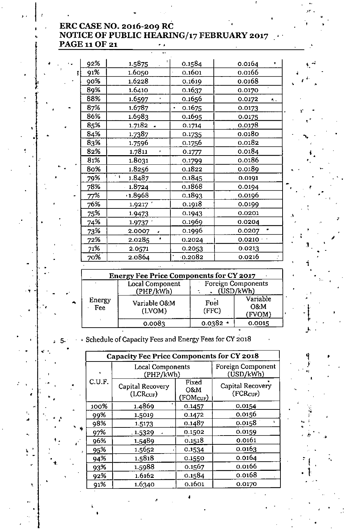# **ERC CASE NO. 2016-209 RC NOTICE OF PUBLIC HEARING/17 FEBRUARY 2017** o ' **PAGE 11 OF 21 :**

 $\mathbb{R}^n$  ,

 $\frac{4}{\sqrt{\epsilon}}\epsilon^{4\nu}\Big|_{\theta}$ 

I 0 •

0'

•

 $\frac{1}{2}$ 

, , •

; ,

•

• .. ,

;<br>1

•

: t

ار<br>.

J 0'

;, ., i .~; . '

 $\frac{q}{r}$  .

"

" '

•

.<br>}<br>آ

.  $\mathfrak{t}$ 

•

 $\ldots$   $\begin{cases} 1, & \ldots \end{cases}$ 

•

,

•

•

,"

•

• .'

•

• " '

. . . . <u>.</u>

,

..

•

•

 $\ddot{\mathbf{r}} = \dot{\mathbf{r}}$ 

,

•

•

•

'.

.:

 $\cdot$  .

•

"

, , .<br>.<br>.

,

 $\overline{\phantom{a}}$  t,  $\overline{\phantom{a}}$ 

,

| 92%        | 1.5875               | 0.1584                   | 0.0164       |    |
|------------|----------------------|--------------------------|--------------|----|
| 91%        | 1.6050               | 0.1601                   | 0.0166       |    |
| 90%        | 1.6228               | 0.1619                   | 0.0168       |    |
| 89%        | 1.6410               | 0.1637                   | 0.0170       |    |
| 88%        | 1.6597               | 0.1656                   | 0.0172<br>Α. |    |
| 87%        | 1.6787               | 0.1675<br>$\blacksquare$ | 0.0173       | r, |
| 86%        | 1.6983               | 0.1695                   | 0.0175       |    |
| 85%        | 1.7182               | 0.1714                   | 0.0178       |    |
| 84%        | 1.7387               | 0.1735                   | 0.0180       |    |
| 83%        | 1.7596               | <u>0.1756</u>            | 0.0182       |    |
| 82%        | 1.7811<br>F          | 0.1777                   | 0.0184       |    |
| 81%        | 1.8031               | 0.1799                   | 0.0186       | ٠. |
| 80%        | 1.8256               | 0.1822                   | 0.0189       |    |
| <b>79%</b> | t q<br>1.8487        | 0.1845                   | 0.0191       |    |
| 78%        | 1.8724               | 0.1868                   | 0.0194       |    |
| 77%        | (1.8968)             | 0.1893                   | 0.0196       |    |
| 76%        | 1.9217               | 0.1918                   | 0.0199       |    |
| <b>75%</b> | 1.9473               | 0.1943                   | 0.0201       | ۸. |
| 74%        | 1.9737               | 0.1969                   | 0.0204       |    |
| 73%        | 2.0007<br>$\epsilon$ | 0.1996                   | 0.0207       |    |
| 72%        | 2.0285<br>٠          | 0.2024                   | $0.0210 +$   |    |
| 71%        | 2.0571               | 0.2053                   | 0.0213       | Э. |
| 70%        | 2.0864               | 0.2082                   | 0.0216       |    |
|            |                      |                          |              |    |

|    | <b>Energy Fee Price Components for CY 2017</b> |                              |               |                                        |
|----|------------------------------------------------|------------------------------|---------------|----------------------------------------|
|    |                                                | Local Component<br>(PHP/kWh) |               | <b>Foreign Components</b><br>(USD/kWh) |
| ٠. | Energy<br>Fee                                  | Variable O&M<br>(LVOM)       | Fuel<br>(FFC) | Variable<br>O&M<br>(FVOM)              |
|    |                                                | 0.0083                       | $0.0382 -$    | 0.0015                                 |

5. Schedule of Capacity Fees and Energy Fees for CY 2018

|   |        | <b>Capacity Fee Price Components for CY 2018</b> |                                       |                                           |  |
|---|--------|--------------------------------------------------|---------------------------------------|-------------------------------------------|--|
|   |        | Local Components<br>(PHP/kWh)                    |                                       | Foreign Component<br>(USD/kWh)            |  |
|   | C.U.F. | Capital Recovery<br>(LCR <sub>CUF</sub> )        | Fixed<br>O&M<br>(FOM <sub>CUF</sub> ) | Capital Recovery<br>(FCR <sub>CUF</sub> ) |  |
|   | 100%   | 1.4869                                           | 0.1457                                | 0.0154                                    |  |
|   | 99%    | 1.5019                                           | 0.1472                                | 0.0156                                    |  |
|   | 98%    | 1.5173                                           | 0.1487                                | 0.0158                                    |  |
| ٠ | 97%    | .1.5329                                          | 0.1502                                | 0.0159                                    |  |
|   | 96%    | 1.5489                                           | 0.1518                                | 0.0161                                    |  |
|   | 95%    | 1.5652                                           | 0.1534                                | 0.0163                                    |  |
|   | 94%    | 1.5818                                           | 0.1550                                | 0.0164                                    |  |
|   | 93%    | 1.5988                                           | 0.1567                                | 0.0166                                    |  |
|   | 92%    | 1.6162                                           | 0.1584                                | 0.0168                                    |  |
|   | 91%    | 1.6340                                           | 0.1601                                | 0.0170                                    |  |

•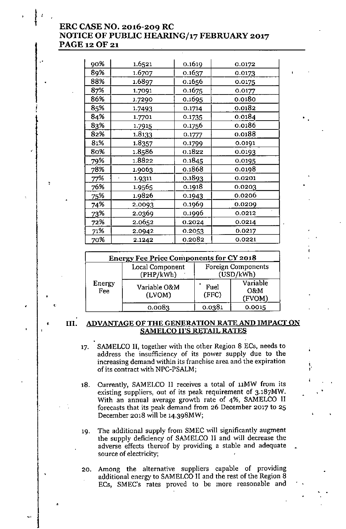# **ERC CASE NO. 2016-209 RC NOTICE OF PUBLIC HEARING/17 FEBRUARY 2017** PAGE 12OF 21

| 90% | 1.6521 | 0.1619 | 0.0172 |
|-----|--------|--------|--------|
| 89% | 1.6707 | 0.1637 | 0.0173 |
| 88% | 1.6897 | 0.1656 | 0.0175 |
| 87% | 1.7091 | 0.1675 | 0.0177 |
| 86% | 1.7290 | 0.1695 | 0.0180 |
| 85% | 1.7493 | 0.1714 | 0.0182 |
| 84% | 1.7701 | 0.1735 | 0.0184 |
| 83% | 1.7915 | 0.1756 | 0.0186 |
| 82% | 1.8133 | 0.1777 | 0.0188 |
| 81% | 1.8357 | 0.1799 | 0.0191 |
| 80% | 1.8586 | 0.1822 | 0.0193 |
| 79% | 1.8822 | 0.1845 | 0.0195 |
| 78% | 1.9063 | 0.1868 | 0.0198 |
| 77% | 1.9311 | 0.1893 | 0.0201 |
| 76% | 1.9565 | 0.1918 | 0.0203 |
| 25% | 1.9826 | 0.1943 | 0.0206 |
| 74% | 2.0093 | 0.1969 | 0.0209 |
| 73% | 2.0369 | 0.1996 | 0.0212 |
| 72% | 2.0652 | 0.2024 | 0.0214 |
| 71% | 2.0942 | 0.2053 | 0.0217 |
| 70% | 2.1242 | 0.2082 | 0.0221 |

| <b>Energy Fee Price Components for CY 2018</b> |                              |               |                                        |  |
|------------------------------------------------|------------------------------|---------------|----------------------------------------|--|
|                                                | Local Component<br>(PHP/kWh) |               | <b>Foreign Components</b><br>(USD/kWh) |  |
| Energy<br>Fee                                  | Variable O&M<br>(LVOM)       | Fuel<br>(FFC) | Variable<br>O&M<br>(FVOM)              |  |
|                                                | 0.0083                       | 0.0381        | 0.0015                                 |  |

### **• III. ADVANTAGE OF THE GENERATION RATE AND IMPACT ON SAMELCO II'S RETAIL RATES**

17. SAMELCO **II,** together with the other Region 8 ECs, needs to **address the insufficiency of its power supply due to the increasing demand within its franchise area and the expiration** of its contract with NPC-PSALM;

\ ••

•

- 18. Currently, SAMELCO II receives a total of 11MW from its **existing suppliers. out of its peak requirement of 3.187MW.** With an annual average growth rate of 4%, SAMELCO II **forecasts that its peak demand from 26 December 2017 to 25** December 2018 will be 14.398MW;
- 19. The additional supply from SMEC will significantly augment the supply deficiency of SAMELCO II and will decrease the **adverse effects thereof by providing a stable and adequate source of electricity;**
- 20. Among the alternative suppliers capable of providing additional energy to SAMELCO II and the rest of the Region 8 **ECs, SMEC's rates proved to be more reasonable and**

."

,

• **• 1:**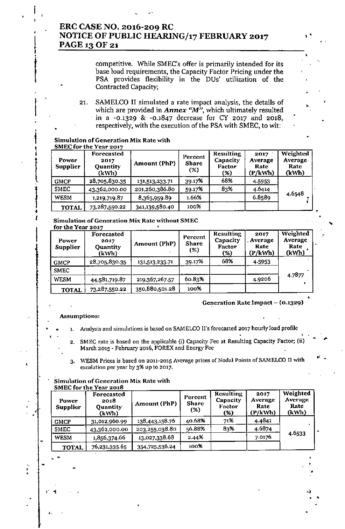# ERC CASE NO. 2016-209 RC NOTICE OF PUBLIC HEARING/17 FEBRUARY 2017 PAGE 13 OF 21

competitive. While SMEC's offer is primarily intended for its base load requirements, the Capacity Factor Pricing under the PSA provides flexibility in the DUs' utilization of the Contracted Capacity;

21. SAMELCO II simulated a rate impact analysis, the details of which are provided in **Annex** "M", which ultimately resulted . in a -0.1329 & -0.1847 decrease for CY 2017 and 2018. respectively, with the execution of the PSA with SMEC, to wit:

|                        | <b>Simulation of Generation Mix Rate with</b> |
|------------------------|-----------------------------------------------|
| SMEC for the Year 2017 |                                               |

•

•

• **.**<br>|

 $\mathbf{1}$ 

I

, i

 $\frac{1}{2}$ 

<del>ा</del>न्तराज्यसम्पर्कतन्त्रसम्पर्कतन्त्रसम्पर्कतन्त्रसम्पर्कतन्त्रसम्पर्कतन्त्रसम्पर्कतन्त्रसम्पर्कतन्त्रसम्पर्कतन्त्रसम्पर्कतन्त्रसम्पर्कतन्त्रसम्पर्कतन्त्रसम्पर्कतन्त्रसम्पर्कतन्त्रसम्पर्कतन्त्रसम्पर्कतन्त्रसम्पर्कतन्त्रसम

|<br>|<br>|

t

 $\prod_{i=1}^k$ 

J.

×

| Power<br><b>Supplier</b> | Forecasted<br>2017<br>Quantity<br>(kWh) | Amount (PhP)   | Percent<br>Share<br>(%) | <b>Resulting</b><br>Capacity<br>Factor<br>(%) | 2017<br>Average<br>Rate<br>(P/kWh) | Weighted<br>Average<br>Rate<br>(kWh) |
|--------------------------|-----------------------------------------|----------------|-------------------------|-----------------------------------------------|------------------------------------|--------------------------------------|
| <b>GMCP</b>              | 28,705,830.35                           | 131,513,233.71 | 39.17%                  | 68%                                           | 4.5953                             |                                      |
| <b>SMEC</b>              | 43,362,000.00                           | 201,260,386.80 | 59.17%                  | 83%                                           | 4.6414                             |                                      |
| <b>WESM</b>              | 1,219,719.87                            | 8,365,959.89   | 1.66%                   |                                               | 6.8589                             | 4.6548                               |
| <b>TOTAL</b>             | 73,287,550.22                           | 341,139,580.40 | 100%                    |                                               |                                    |                                      |

#### Simulation of Generation Mix Rate without SMEC the Vess 201

| Power<br>Supplier | Forecasted<br>2017<br>Quantity<br>(kWh) | Amount (PhP)   | Percent<br><b>Share</b><br>(%) | <b>Resulting</b><br>Capacity<br>Factor<br>(%) | 2017<br>Average<br>Rate<br>(P/kWh) | Weighted<br>Average<br>Rate<br>(kWh) |
|-------------------|-----------------------------------------|----------------|--------------------------------|-----------------------------------------------|------------------------------------|--------------------------------------|
| <b>GMCP</b>       | 28,705,830.35                           | 131,513,233.71 | 39.17%                         | 68%                                           | 4.5953                             |                                      |
| <b>SMEC</b>       |                                         |                |                                |                                               |                                    |                                      |
| <b>WESM</b>       | 44,581,719.87                           | 219,367,267.57 | 60.83%                         |                                               | 4.9206                             | 4.7877                               |
| <b>TOTAL</b>      | 73,287,550.22                           | 350,880,501.28 | 100%                           |                                               |                                    |                                      |
|                   |                                         |                |                                |                                               |                                    |                                      |

### Generation Rate Impact - (0.1329)

• •

" .

•

••

### Assumptions:

• •

"

•

; •

- 1. Analysis and simulations is based on SAMELCO II's forecasted 2017 hourly load profile
	- 2. SMEC rate is based on the applicable (i) Capacity Fee at Resulting Capacity Factor; (ii) March 2015 - February 2016, FOREX and Energy Fee
	- 3. WESM Prices is based on 2011-2015 Average prices of Nodal Points of SAMELCO II with escalation per year by 3% up to 2017.

### Simulation of Generation Mix Rate with SMEC for the Year 2018

| Power<br><b>Supplier</b> | Forecasted<br>2018<br><b>Quantity</b><br>(kWh) | Amount (PhP)   | Percent<br><b>Share</b><br>(%) | <b>Resulting</b><br>Capacity<br>Factor<br>(%) | 2017<br>Average<br>Rate<br>(P/kWh) | Weighted<br>Average<br>Rate<br>(kWh) |
|--------------------------|------------------------------------------------|----------------|--------------------------------|-----------------------------------------------|------------------------------------|--------------------------------------|
| <b>GMCP</b>              | 31,012,960.99                                  | 138,443,158.76 | 40.68%                         | 71%                                           | 4.4841                             |                                      |
| <b>SMEC</b>              | 43,362,000.00                                  | 203,255,038.80 | 56.88%                         | 83%                                           | 4.6874                             |                                      |
| <b>WESM</b>              | 1,856,374.66                                   | 13,027,338.68  | 2.44%                          |                                               | 7.0176                             | 4.6533                               |
| <b>TOTAL</b>             | 76,231,335.65                                  | 354,725,536.24 | 100%                           |                                               |                                    |                                      |

 $\mathbf{P}=\frac{1}{2}$  , which is a set of the set of the set of the set of the set of the set of the set of the set of the set of the set of the set of the set of the set of the set of the set of the set of the set of the set o

 $\mathbf{r}$  .  $\mathbf{r}$  ,  $\mathbf{r}$  ,  $\mathbf{r}$  ,  $\mathbf{r}$  ,  $\mathbf{r}$  ,  $\mathbf{r}$  ,  $\mathbf{r}$  ,  $\mathbf{r}$  ,  $\mathbf{r}$  ,  $\mathbf{r}$  ,  $\mathbf{r}$  ,  $\mathbf{r}$  ,  $\mathbf{r}$  ,  $\mathbf{r}$  ,  $\mathbf{r}$  ,  $\mathbf{r}$  ,  $\mathbf{r}$  ,  $\mathbf{r}$  ,  $\mathbf{r}$  ,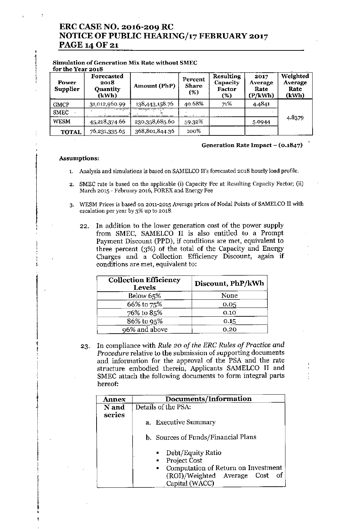### ERC CASE NO. 2016-209 RC NOTICE OF PUBLIC HEARING/17 FEBRUARY 2017 PAGE 14 OF 21

| for the Year 2018        |                                                            | omnuauon oi ocheranon mia nate whilout binec |                                |                                                  |                                    |                                      |
|--------------------------|------------------------------------------------------------|----------------------------------------------|--------------------------------|--------------------------------------------------|------------------------------------|--------------------------------------|
| Power<br><b>Supplier</b> | Forecasted<br>2018<br>Quantity<br>(kWh)                    | Amount (PhP)                                 | Percent<br><b>Share</b><br>(%) | <b>Resulting</b><br>Capacity<br>Factor<br>$(\%)$ | 2017<br>Average<br>Rate<br>(P/kWh) | Weighted<br>Average<br>Rate<br>(kWh) |
| <b>GMCP</b>              | 31,012,960.99                                              | 138,443,158.76                               | 40.68%                         | 71%                                              | 4.4841                             |                                      |
| SMEC                     | $\sqrt{N_{\rm N} \log{N_{\rm N} \log{N_{\rm N} \over 2}}}$ |                                              | arm in                         |                                                  |                                    |                                      |
| <b>WESM</b>              | 45,218,374.66                                              | 230,358,685.60                               | 59.32%                         |                                                  | 5.0944                             | 4.8379                               |
| <b>TOTAL</b>             | 76,231,335.65                                              | 368,801,844.36                               | 100%                           |                                                  |                                    |                                      |

### Simulation of Generation Mix Rate without SMEC

### Generation Rate Impact  $-$  (0.1847)

### Assumptions:

,

┉<br>╫┈┢╬┈┸╌┖╬╬┈╌┸┈╄┈╤╾╍╍╍ |<br>|<br>|-

> l !

> > I

l•

- 1. Analysis and simulations is based on SAMELCO II's forecasted 2018 hourly load profile.
- 2. SMEC rate is based on the applicable (i) Capacity Fee at Resulting Capacity Factor; (ii) March 2015 - February 2016, FOREX and Energy Fee
- 3. WESM Prices is based on 2011-2015 Average prices of Nodal Points of SAMELCO II with escalation per year by 3% up to 2018.
	- 22. In addition to the lower generation cost of the power supply from SMEC, SAMELCO II is also entitled to a Prompt Payment Discount (PPD), if conditions are met, equivalent to three percent (3%) of the total of the Capacity and Energy Charges and a Collection Efficiency Discount, again if conditions are met, equivalent to:

| <b>Collection Efficiency</b><br><b>Levels</b> | Discount, PhP/kWh |
|-----------------------------------------------|-------------------|
| Below 65%                                     | None              |
| 66% to 75%                                    | 0.05              |
| 76% to 85%                                    | 0.10              |
| 86% to 95%                                    | 0.15              |
| 96% and above                                 | 0.20              |

23. In compliance with *Rule* 20 *of the ERC Rules of Practice and Procedure* relative to the submission of supporting documents and information for the approval of the PSA and the rate structure embodied therein, Applicants SAMELCO II and SMEC attach the following documents to form integral parts hereof:

| <b>Annex</b> | Documents/Information                                                                                                                 |
|--------------|---------------------------------------------------------------------------------------------------------------------------------------|
| N and        | Details of the PSA:                                                                                                                   |
| series       | a. Executive Summary<br>b. Sources of Funds/Financial Plans                                                                           |
|              | • Debt/Equity Ratio<br>• Project Cost<br>Computation of Return on Investment<br>(ROI)/Weighted Average Cost<br>- of<br>Capital (WACC) |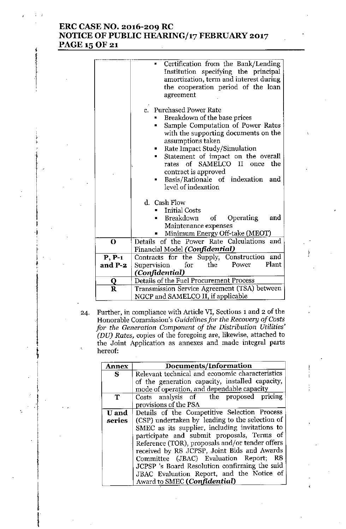# ERC CASE NO. 2016-209 RC NOTICE OF PUBLIC HEARING/17 FEBRUARY 2017 PAGE 15 OF 21

|                         | Certification from the Bank/Lending<br>a<br>Institution specifying the principal<br>amortization, term and interest during<br>the cooperation period of the loan<br>agreement                                                                                                                                                                                                            |
|-------------------------|------------------------------------------------------------------------------------------------------------------------------------------------------------------------------------------------------------------------------------------------------------------------------------------------------------------------------------------------------------------------------------------|
|                         | c. Purchased Power Rate<br>Breakdown of the base prices<br>Sample Computation of Power Rates<br>н<br>with the supporting documents on the<br>assumptions taken<br>Rate Impact Study/Simulation<br>$\blacksquare$<br>Statement of impact on the overall<br>٠<br>of SAMELCO II once<br>the<br>rates<br>contract is approved<br>Basis/Rationale of indexation<br>and<br>level of indexation |
|                         | d. Cash Flow<br><b>Initial Costs</b>                                                                                                                                                                                                                                                                                                                                                     |
|                         | Breakdown of Operating<br>and<br>Maintenance expenses<br>Minimum Energy Off-take (MEOT)                                                                                                                                                                                                                                                                                                  |
| $\mathbf 0$             | Details of the Power Rate Calculations and<br>Financial Model (Confidential)                                                                                                                                                                                                                                                                                                             |
| $P, P-1$<br>and P-2     | Contracts for the Supply, Construction<br>and<br>Plant<br>Power<br>the<br>Supervision<br>for<br>(Confidential)                                                                                                                                                                                                                                                                           |
| Q                       | Details of the Fuel Procurement Process                                                                                                                                                                                                                                                                                                                                                  |
| $\overline{\mathbf{R}}$ | Transmission Service Agreement (TSA) between<br>NGCP and SAMELCO II, if applicable                                                                                                                                                                                                                                                                                                       |

24. Further, in compliance with Article VI, Sections 1 and 2 of the Honorable Commission's *Guidelines for the Recovery of Costs jor the Generation Component of the Distribution Utilities' (DU) Rates,* copies of the foregoing are, likewise, attached to the Joint Application as annexes and made integral parts hereof:

| Annex        | Documents/Information                           |
|--------------|-------------------------------------------------|
| S            | Relevant technical and economic characteristics |
|              | of the generation capacity, installed capacity, |
|              | mode of operation, and dependable capacity      |
| Т            | Costs analysis of the proposed pricing          |
|              | provisions of the PSA                           |
| <b>U</b> and | Details of the Competitive Selection Process    |
| series       | (CSP) undertaken by leading to the selection of |
|              | SMEC as its supplier, including invitations to  |
|              | participate and submit proposals, Terms of      |
|              | Reference (TOR), proposals and/or tender offers |
|              | received by R8 JCPSP, Joint Bids and Awards     |
|              | Committee (JBAC) Evaluation Report; R8          |
|              | JCPSP 's Board Resolution confirming the said   |
|              | JBAC Evaluation Report, and the Notice of       |
|              | Award to SMEC (Confidential)                    |

;<br>;  $\mathfrak{f}$ I |<br>|<br>|-इ<br>∤•

> $\ddot{\ddot{\textbf{i}}}$  $\frac{1}{1}$

> > ļ. I

f

I

ia <del>termini</del>ka<br>I

I

,<br>|<br>|} ¦<br>⊦<br>†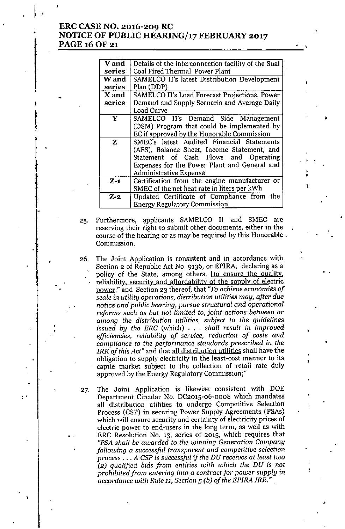### ERC CASE NO. 2016-209 RC NOTICE OF PUBLIC *HEARINGJ17* FEBRUARY 2017 PAGE 16 OF 21

;<br>;<br>+

t j.

•

..

,

•

..

•

•

| <b>V</b> and | Details of the interconnection facility of the Sual |
|--------------|-----------------------------------------------------|
| series       | Coal Fired Thermal Power Plant                      |
| W and        | SAMELCO II's latest Distribution Development        |
| series       | Plan (DDP)                                          |
| X and        | SAMELCO II's Load Forecast Projections, Power       |
| series       | Demand and Supply Scenario and Average Daily        |
|              | Load Curve                                          |
| Y            | SAMELCO II's Demand Side Management                 |
|              | (DSM) Program that could be implemented by          |
|              | EC if approved by the Honorable Commission          |
| $\mathbf{Z}$ | SMEC's latest Audited Financial Statements          |
|              | (AFS), Balance Sheet, Income Statement, and         |
|              | Statement of Cash Flows and Operating               |
|              | Expenses for the Power Plant and General and        |
|              | <b>Administrative Expense</b>                       |
| $Z-1$        | Certification from the engine manufacturer or       |
|              | SMEC of the net heat rate in liters per kWh         |
| $Z-2$        | Updated Certificate of Compliance from the          |
|              | <b>Energy Regulatory Commission</b>                 |
|              |                                                     |

, ,

•

,

•

,

, • I

25. Furthermore, applicants SAMELCO II and SMEC are reserving their right to submit other documents, either in the course of the hearing or as may be required by this Honorable . Commission.

- 26. The Joint Application is consistent and in accordance with Section 2 of Republic Act No. 9136, or EPIRA, declaring as a policy of the State, among others, [to ensure the quality, reliability, security and affordability of the supply of electric power;" and Section 23 thereof, that *"To achieve* economies *of*  $scale$  *in utility operations, distribution utilities may, after due notice and public hearing, pursue structural and operational reforms such* as *but not limited to, joint actions between* or *among the* distribution utilities, *subject* to *the guidelines* issued *by the ERC* (which) ... *shall result in improved efficiencies, reliability of service, reduction of costs and compliance* to *the performance standards presc1"ibed in the IRR of this Act"* and that all distribution utilities shall have the obligation to supply electricity in the least-cost manner to its captie market subject to the collection of retail rate duly approved by the Energy Regulatory Commission;"
- 27. The Joint Application is likewise consistent with DOE Department Circular No. *DC2015-o6-oooB* which mandates all distribution utilities to undergo Competitive Selection Process (CSP) in securing Power Supply Agreements (PSAs) which will ensure security and certainty of electricity prices of electric power to end-users in the long term, as well as with ERC Resolution No. 13, series of 2015, which requires that *"PSA* shall be awarded to the winning Generation Company *following* a *successful transparent* and *competitive selection process ... A CSP* is successful *if the DU* receives *at least two (2) qualified bids from entities with which the DU* is *not prohibited from entering into* a *contract for power supply in accordance with Rule* 11, *Section* 5*(b) of the EPIRA IRR."*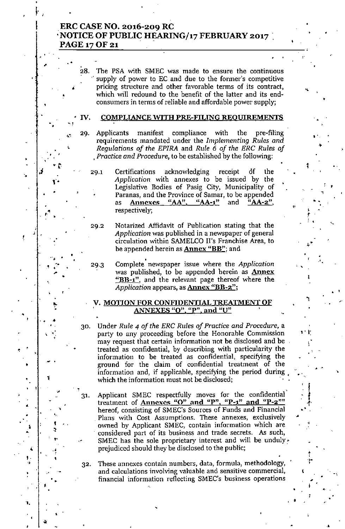### ERC CASE NO. 2016-209 RC .NOTICE OF PUBLIC HEARING/17 FEBRUARY 2017 PAGE 17 OF 21

" •

28. The PSA with SMEC was made to ensure the continuous supply of power to EC and due to the former's competitive pricing structure and other favorable terms of its contract, which will redound to the henefit of the latter and its endconsumers in terms of reliable and affordable power supply;

•

"

•

•

.'

..

, *t*  $\frac{1}{2}$ 

"

, ..'

, ,

.'

:  $\mathbf{f}$  .

t I' ,

!<br>!

•

•

•

•

" ,

,

1

•

•

•

### IV. COMPLIANCE WITH PRE-FILING REOUIREMENTS

29. Applicants manifest compliance with the pre-filing requirements mandated under the *Implementing Rules and Regulations of the EPlRA* and *Rule* 6 *of the ERC Rules of , Proctice and Procedure,* to he estahlished hy the following:

- Certifications acknowledging receipt of the *Application* with annexes to be issued by the Legislative Bodies of Pasig City, Municipality of Paranas, and the Province of Samar, to be appended as **Annexes "AA", "AA-1"** and "AA-2", respectively;
- 

29.1

 $\mathbf{F}_{\mathbf{z}}$ 

•

•

•

,

•

31.

,-

,

•

"

•

,<br>e f

•

•

|<br>|}

• • I •

,<br>, 'f •

 $, \frac{1}{4}$ 

,<br>4

 $\cdot$  ,

•

•

, .

,

1

" ,<br>1. . ्<br>१<br>द

.<br>.<br>.<br>.

,.

•

•

,

.,

• • •

•

•  $^{\prime}$  .

I

.'

'.

29,2 Notarized Affidavit of Publication stating that the *Application* was published in a newspaper of general circulation within SAMELCO II's Franchise Area, to be appended herein as **Annex "BB"**; and

• 29.3 Complete newspaper issue where the *Application* was published, to be appended herein as **Annex** "BB-1", and the relevant page thereof where the Application appears, as **Annex "BB-2"**;

### V. MOTION FOR CONFIDENTIAL TREATMENT OF . ANNEXES "Q", "P", and "U"

- 30. Under *Rule* 4 *of the ERC Rules of Practice and Procedure,* a party to any proceeding before the Honorable Commission may request that certain information not be disclosed and be treated as confidential, by descrihing with particularity the information to be treated as confidential, specifying the ground for the claim of confidential treatment of the information and, if applicable, specifying the period during. which the information must not be disclosed;
	- Applicant SMEC respectfully moves for the confidential' treatment of **Annexcs** " $O''$  and "P", "P-1" and "P-2"" hereof, consisting of SMEC's Sources of Funds and Financial Plans with Cost Assumptions. These annexes, exclusively owned by Applicant SMEC, contain information which are considered part of its business and trade secrets. As such, SMEC has the sole proprietary interest and will be unduly  $\cdot$ prejudiced should they he disclosed to the puhlic;
- 32, These annexes contain numbers, data, formula, methodology, and calculations involving valuable and sensitive commercial, financial information reflecting SMEC's business operations

 $\mathbf{E}_\mathbf{r} = \left\{ \begin{array}{ll} \mathbf{r} & \mathbf{r} & \mathbf{r} \ \mathbf{r} & \mathbf{r} & \mathbf{r} \ \mathbf{r} & \mathbf{r} & \mathbf{r} \ \mathbf{r} & \mathbf{r} & \mathbf{r} \ \mathbf{r} & \mathbf{r} & \mathbf{r} \ \mathbf{r} & \mathbf{r} & \mathbf{r} \ \mathbf{r} & \mathbf{r} & \mathbf{r} \ \mathbf{r} & \mathbf{r} & \mathbf{r} \ \mathbf{r} & \mathbf{r} & \mathbf{r} \ \mathbf{r} &$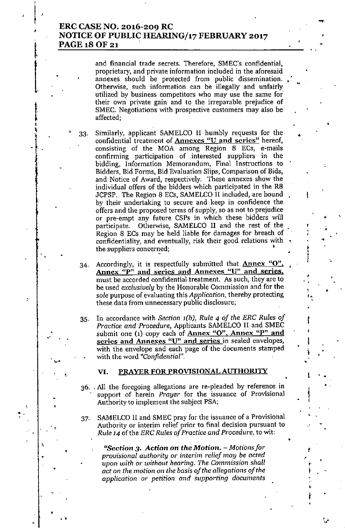### ERC CASE NO. 2016-209 RC NOTICE OF PUBLIC HEARING/17 FEBRUARY 2017 PAGE 18 OF 21

33.

•

•

,

 $\left| \ \right|$ 

la de la companya de la companya de la companya de la companya de la companya de la companya de la companya de<br>La companya de la companya de la companya de la companya de la companya de la companya de la companya de la co

t

t i<br>I i<br>I

.'

•

 $\frac{1}{2}$ 

•

.

•

•

\

•

and financial trade secrets. Therefore, SMEC's confidential, **proprietary, and private information included in the aforesaid** annexes should be protected from public dissemination. • Otherwise, such information can be illegally and unfairly **utilized by business competitors who may use the same for' their own private gain and to the irreparable prejudice of** SMEC. Negotiations witb prospective customers may also be affected;

• Similarly, applicant SAMELCO II humbly requests for the confidential treatment of **Annexes** "U and series" hereof, consisting of the MOA among Region 8 ECs, e-mails **confirming participation of interested suppliers in the bidding, lnformation Memorandum, Final Instructions to Bidders, Bid Forms, Bid Evaluation Slips, Comparison of Bids, and Notice of Award, respectively. These annexes show the** individual offers of the bidders which participated in the R8 JCPSP. The Region 8 ECs, SAMELCO II included, are bound by their undertaking to secure and keep in confidence the **offers and the proposed terms of supply, so as not to prejudice** or pre-empt any future CSPs in which these bidders will participate. Otherwise, SAMELCO II and the rest of the Region 8 ECs may be held liable for damages for breach of **confidentiality, and eventually, risk their good relations with the suppliers concerned; l**

•

•

• •

...'

,

. ,

•

•

•

• .<br>ነ f, ,

t

.<br>|<br>|

 $\mathbf{i}$  .

 $1 + 4$ 

,

t' r<br>| ..

,~..

•

•

Accordingly, it is respectfully submitted that **Annex** "O". **Anncx up" and series and Anncxcs "U" and series. must be accorded confidential treatment. As such, they are to** be used *exclusively* by the Honorable Commission and for the *sole* purpose of evaluating this Application, thereby protecting **these data from unnecessary public disclosure;** 34.

35. In accordance with Section *l(b), Rule* 4 *of the ERC Rules of Practice* and *Procedure,* Applicants SAMELCO II and SMEC **submit one (1) copy each of Anncx "0". Anncx "P" and scrics and Annexes "U" and series in sealed envelopes,** with the envelope and each page of the documents stamped with the word *"Confidential".*

### VI. PRAYER FOR PROVISIONAL AUTHORITY

- 36 .. All the foregoing allegations are re-pleaded by reference in **support of herein** *Prayer'* **for the issuance of Provisional** All the foregoing allegations are re-pleaded by reterence in<br>support of herein *Prayer* for the issuance of Provisional<br>Authority to implement the subject PSA;
- 37. SAMELCO II and SMEC pray for the issuance of a Provisional **Authority or interim relief prior to final decision pursuant to** *Rule* 14 of the *ERC Rules of Practice* and *Procedure,* to wit:

*"Section* **3.** *Action* **on** *the Motion. - Motions for provisional authority* **or interim** *relief may be acted upon with or without hearing. The Commission shall act on the motion* **on** *the basis a/the allegatl.'ons a/the application or petl.'tion* **and** *supporting documents*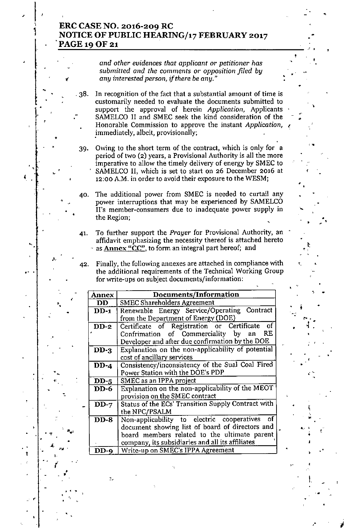# ERC CASE NO. 2016-209 RC<br>NOTICE OF PUBLIC HEARING/17 FEBRUARY 2017 .PAGE 19 OF 21

,

 $\Big\}$  .

la de la provincia de la provincia de la provincia de la provincia de la provincia de la provincia de la provi<br>La provincia de la provincia de la provincia de la provincia de la provincia de la provincia de la provincia d

,

 $\begin{bmatrix} 1 \\ 1 \end{bmatrix}$ 

 $\ddagger$ 

•

•

,

>,

*i*

•• ~

•

t

•

, ..

•••

••

- .'

Y.

• -

.

•

*and other evidences that applicant or petitioner has submitted and the comments* or *opposition filed by* .' *any interested person, if there be any."* •

•

•

•

•

'-

•

~

•

> •

f.

"

•

-,

"

•

•

)<br>29 - 9

- . 38. In recognition of the fact that a substantial amount of time is customarily needed to evaluate the documents submitted to support the approval of herein *Application*, Applicants SAMELCO II and SMEC seek the kind consideration of the Honorable Commission to approve the instant *Application*, .immediately, albeit, provisionally;
- 39. Owing to the short term of the contract, which is only for a period of two (2) years, a Provisional Authority is all the more imperative to allow the timely delivery of energy by SMEC to<br>SAMELCO II, which is set to start on 26 December 2016 at SAMELCO II, which is set to start on 26 December 2016 at 12:00 A.M. in order to avoid their exposure to the WESM;
- 40. The additional power from SMEC is needed to curtail any power interruptions that may be experienced by SAMELCO II's member-consumers due to inadequate power supply in  $\blacksquare$  the Region;
- 41. To further support the *Prayer* for Provisional Authority, an affidavit emphasizing the necessity thereof is attached hereto as **Annex "CC"**, to form an integral part hereof; and
- 42. Finally, the following annexes are attached in compliance with the additional requirements of the Technical Working Group for write-ups on subject documents/information:

| <b>Annex</b> | Documents/Information                              |       |
|--------------|----------------------------------------------------|-------|
| <b>DD</b>    | <b>SMEC Shareholders Agreement</b>                 |       |
| $DD-1$       | Renewable Energy Service/Operating Contract        |       |
|              | from the Department of Energy (DOE)                | argi. |
| $DD-2$       | Certificate of Registration or Certificate<br>0f   |       |
|              | Confrimation of Commerciality by<br>RE.<br>an      |       |
|              | Developer and after due confirmation by the DOE    |       |
| $DD-3$       | Explanation on the non-applicability of potential  |       |
|              | cost of ancillary services                         |       |
| $DD-4$       | Consistency/inconsistency of the Sual Coal Fired   |       |
|              | Power Station with the DOE's PDP                   |       |
| $DD-5$       | SMEC as an IPPA project                            |       |
| <b>DD-6</b>  | Explanation on the non-applicability of the MEOT   |       |
|              |                                                    |       |
|              | provision on the SMEC contract                     |       |
| $DD-7$       | Status of the ECs' Transition Supply Contract with |       |
|              | the NPC/PSALM                                      |       |
| $DD-8$       | Non-applicability to electric cooperatives of      |       |
|              | document showing list of board of directors and    |       |
|              | board members related to the ultimate parent       |       |
|              | company, its subsidiaries and all its affiliates   |       |
| $DD-9$       | Write-up on SMEC's IPPA Agreement                  |       |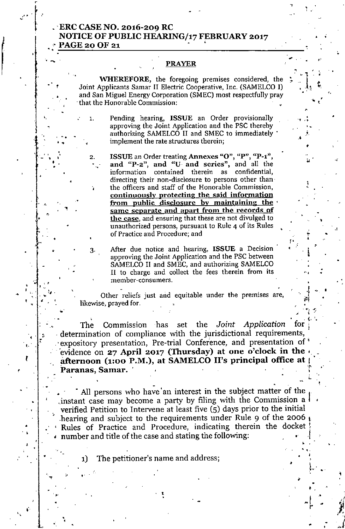### .. ERC CASE NO. 2016-209 RC NOTICE OF PUBLIC HEARING/17 FEBRUARY 2017 PAGE 20 OF 21

• •

.-

,

•

. ". • • ,

•. , ,

••

..

2.

"

•

•

•

•

••

 $\mathcal{L}^{(n)}\Bigl[\begin{array}{c} n_{n} \ n_{n} \end{array} \Bigr]$ 

I

•

•

 $, 4.$  $, \, \, \cdot \, \cdot \,$  , '., .... ∵<br>پ<br>م

,.

I

• ...

•  $\frac{1}{4}$ :<br>:

 $\cdot$   $\cdot$   $\cdot$ •,

•

,

•

'.

r I

### PRAYER

,<br>, , .

•  $\mathcal{L} \left( \mathcal{L} \right) = \mathcal{L}$ 

.'

•• •

,.

 $,$ 

'.  $\mathcal{L}$ 

> 1 •

•

i "

...

• •

••

ן<br>י

•

 $\sum_{i=1}^n \frac{1}{i}$ 

 $+1$   $1$ •

*J*

• *~i*

., .,

•

• •

. "

•

,.

•

.,

•

WHEREFORE, the foregoing premises considered. the Joint Applicants Samar II Electric Cooperative. Inc. (SAMELCO I) and San Miguel Energy Corporation (SMEC) most respectfully pray that the Honorable Commission: •

1. Pending hearing. ISSUE an Order provisionally approving the Joint Application and the PSC therehy authorizing SAMELCO II and SMEC to immediately . implement the rate structures therein;

ISSUE an Order treating Annexes "O", "P", "P-1", and "P-2", and "U. and series", and all the information contained therein as confidential, directing their non-disclosure to persons other than the officers and staff of the Honorable Commission. continuously protecting the said information from public disclosure by maintaining the same separate and apart from the records of the case, and ensuring that these are not divulged to unauthorized persons, pursuant to Rule <sup>4</sup> of its Rules • of Practice and Procedure; and

After due notice and hearing, **ISSUE** a Decision approving the Joirit Application and the PSC between SAMELCO II and SMEC. and authorizing SAMELCO II to charge and collect the fees therein from its member-consumers.

Other reliefs just and equitable under the premises are, likewise, prayed for.

The Commission has set the Joint *Application* for determination of compliance with the jurisdictional requirements, .' expository presentation, Pre-trial Conference, and presentation of' evidence on 27 April 2017 (Thursday) at one o'clock in the afternoon (1:00 P.M.), at SAMELCO II's principal office at Paranas, Samar. '

All persons who have an interest in the subject matter of the instant case may become a party by filing with the Commission a  $\mathfrak{f}$ verified Petition to Intervene at least five  $(5)$  days prior to the initial hearing and subject to the requirements under Rule 9 of the 2006  $<sub>1</sub>$ </sub> Rules of Practice and Procedure, indicating therein the docket t number and title of the case and stating the following: ,

• 1) The petitioner's name and address;